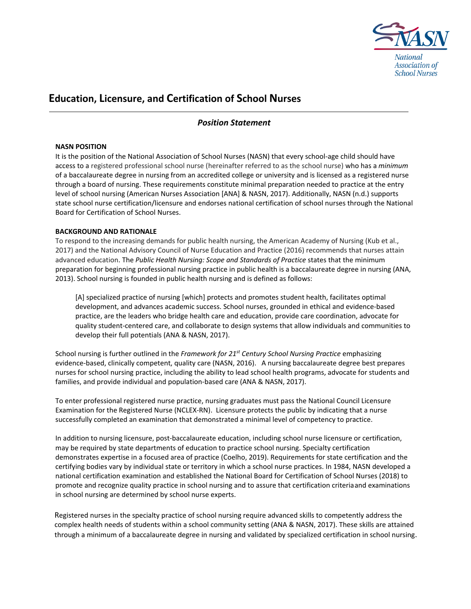

# **Education, Licensure, and Certification of School Nurses**

## *Position Statement*

## **NASN POSITION**

It is the position of the National Association of School Nurses (NASN) that every school-age child should have access to a registered professional school nurse (hereinafter referred to as the school nurse) who has a *minimum*  of a baccalaureate degree in nursing from an accredited college or university and is licensed as a registered nurse through a board of nursing. These requirements constitute minimal preparation needed to practice at the entry level of school nursing (American Nurses Association [ANA] & NASN, 2017). Additionally, NASN (n.d.) supports state school nurse certification/licensure and endorses national certification of school nurses through the National Board for Certification of School Nurses.

### **BACKGROUND AND RATIONALE**

To respond to the increasing demands for public health nursing, the American Academy of Nursing (Kub et al., 2017) and the National Advisory Council of Nurse Education and Practice (2016) recommends that nurses attain advanced education. The *Public Health Nursing: Scope and Standards of Practice* states that the minimum preparation for beginning professional nursing practice in public health is a baccalaureate degree in nursing (ANA, 2013). School nursing is founded in public health nursing and is defined as follows:

[A] specialized practice of nursing [which] protects and promotes student health, facilitates optimal development, and advances academic success. School nurses, grounded in ethical and evidence-based practice, are the leaders who bridge health care and education, provide care coordination, advocate for quality student-centered care, and collaborate to design systems that allow individuals and communities to develop their full potentials (ANA & NASN, 2017).

School nursing is further outlined in the *Framework for 21st Century School Nursing Practice* emphasizing evidence-based, clinically competent, quality care (NASN, 2016). A nursing baccalaureate degree best prepares nurses for school nursing practice, including the ability to lead school health programs, advocate for students and families, and provide individual and population-based care (ANA & NASN, 2017).

To enter professional registered nurse practice, nursing graduates must pass the National Council Licensure Examination for the Registered Nurse (NCLEX‐RN). Licensure protects the public by indicating that a nurse successfully completed an examination that demonstrated a minimal level of competency to practice.

In addition to nursing licensure, post‐baccalaureate education, including school nurse licensure or certification, may be required by state departments of education to practice school nursing. Specialty certification demonstrates expertise in a focused area of practice (Coelho, 2019). Requirements for state certification and the certifying bodies vary by individual state or territory in which a school nurse practices. In 1984, NASN developed a national certification examination and established the National Board for Certification of School Nurses (2018) to promote and recognize quality practice in school nursing and to assure that certification criteriaand examinations in school nursing are determined by school nurse experts.

Registered nurses in the specialty practice of school nursing require advanced skills to competently address the complex health needs of students within a school community setting (ANA & NASN, 2017). These skills are attained through a minimum of a baccalaureate degree in nursing and validated by specialized certification in school nursing.